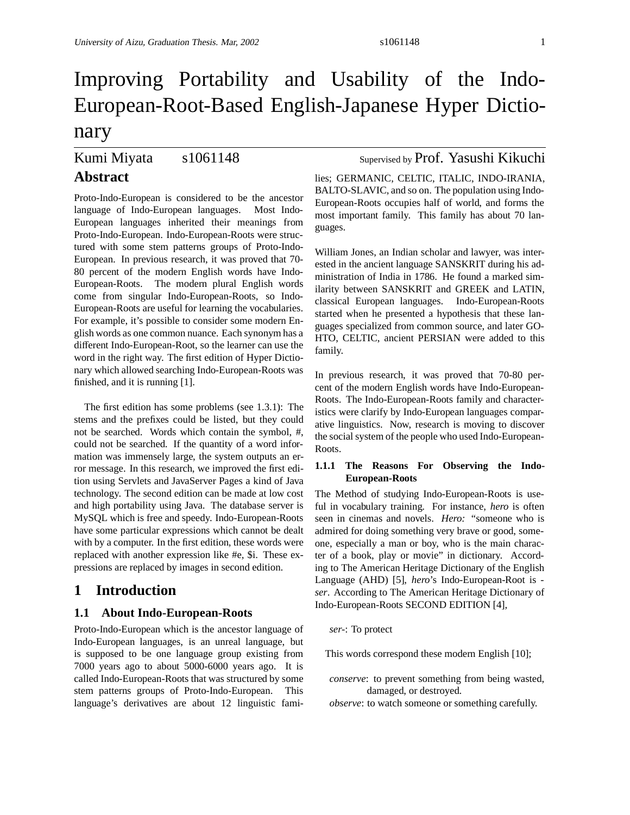# Improving Portability and Usability of the Indo-European-Root-Based English-Japanese Hyper Dictionary

## Kumi Miyata s1061148 Supervised by Prof. Yasushi Kikuchi **Abstract**

Proto-Indo-European is considered to be the ancestor language of Indo-European languages. Most Indo-European languages inherited their meanings from Proto-Indo-European. Indo-European-Roots were structured with some stem patterns groups of Proto-Indo-European. In previous research, it was proved that 70- 80 percent of the modern English words have Indo-European-Roots. The modern plural English words come from singular Indo-European-Roots, so Indo-European-Roots are useful for learning the vocabularies. For example, it's possible to consider some modern English words as one common nuance. Each synonym has a different Indo-European-Root, so the learner can use the word in the right way. The first edition of Hyper Dictionary which allowed searching Indo-European-Roots was finished, and it is running [1].

The first edition has some problems (see 1.3.1): The stems and the prefixes could be listed, but they could not be searched. Words which contain the symbol, #, could not be searched. If the quantity of a word information was immensely large, the system outputs an error message. In this research, we improved the first edition using Servlets and JavaServer Pages a kind of Java technology. The second edition can be made at low cost and high portability using Java. The database server is MySQL which is free and speedy. Indo-European-Roots have some particular expressions which cannot be dealt with by a computer. In the first edition, these words were replaced with another expression like #e, \$i. These expressions are replaced by images in second edition.

### **1 Introduction**

### **1.1 About Indo-European-Roots**

Proto-Indo-European which is the ancestor language of Indo-European languages, is an unreal language, but is supposed to be one language group existing from 7000 years ago to about 5000-6000 years ago. It is called Indo-European-Roots that was structured by some stem patterns groups of Proto-Indo-European. This language's derivatives are about 12 linguistic fami-

lies; GERMANIC, CELTIC, ITALIC, INDO-IRANIA, BALTO-SLAVIC, and so on. The population using Indo-European-Roots occupies half of world, and forms the most important family. This family has about 70 languages.

William Jones, an Indian scholar and lawyer, was interested in the ancient language SANSKRIT during his administration of India in 1786. He found a marked similarity between SANSKRIT and GREEK and LATIN, classical European languages. Indo-European-Roots started when he presented a hypothesis that these languages specialized from common source, and later GO-HTO, CELTIC, ancient PERSIAN were added to this family.

In previous research, it was proved that 70-80 percent of the modern English words have Indo-European-Roots. The Indo-European-Roots family and characteristics were clarify by Indo-European languages comparative linguistics. Now, research is moving to discover the social system of the people who used Indo-European-Roots.

#### **1.1.1 The Reasons For Observing the Indo-European-Roots**

The Method of studying Indo-European-Roots is useful in vocabulary training. For instance, *hero* is often seen in cinemas and novels. *Hero:* "someone who is admired for doing something very brave or good, someone, especially a man or boy, who is the main character of a book, play or movie" in dictionary. According to The American Heritage Dictionary of the English Language (AHD) [5], *hero*'s Indo-European-Root is  *ser*. According to The American Heritage Dictionary of Indo-European-Roots SECOND EDITION [4],

#### *ser-*: To protect

This words correspond these modern English [10];

- *conserve*: to prevent something from being wasted, damaged, or destroyed.
- *observe*: to watch someone or something carefully.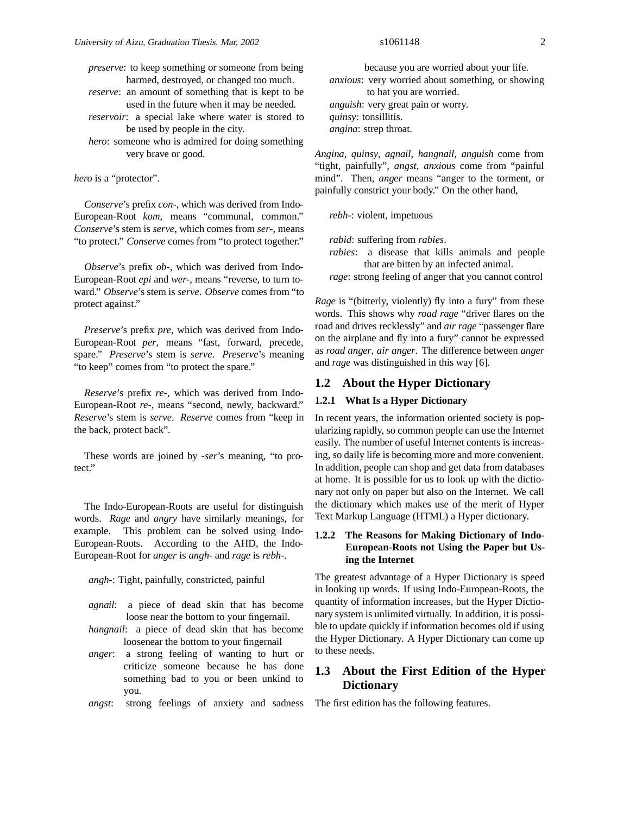*preserve*: to keep something or someone from being harmed, destroyed, or changed too much.

*reserve*: an amount of something that is kept to be used in the future when it may be needed.

*reservoir*: a special lake where water is stored to be used by people in the city.

*hero*: someone who is admired for doing something very brave or good.

*hero* is a "protector".

*Conserve*'s prefix *con-*, which was derived from Indo-European-Root *kom*, means "communal, common." *Conserve*'s stem is *serve*, which comes from *ser-*, means "to protect." *Conserve* comes from "to protect together."

*Observe*'s prefix *ob-*, which was derived from Indo-European-Root *epi* and *wer-*, means "reverse, to turn toward." *Observe*'s stem is *serve*. *Observe* comes from "to protect against."

*Preserve*'s prefix *pre*, which was derived from Indo-European-Root *per*, means "fast, forward, precede, spare." *Preserve*'s stem is *serve*. *Preserve*'s meaning "to keep" comes from "to protect the spare."

*Reserve*'s prefix *re-*, which was derived from Indo-European-Root *re-*, means "second, newly, backward." *Reserve*'s stem is *serve*. *Reserve* comes from "keep in the back, protect back".

These words are joined by *-ser*'s meaning, "to protect."

The Indo-European-Roots are useful for distinguish words. *Rage* and *angry* have similarly meanings, for example. This problem can be solved using Indo-European-Roots. According to the AHD, the Indo-European-Root for *anger* is *angh-* and *rage* is *rebh-*.

*angh-*: Tight, painfully, constricted, painful

- *agnail*: a piece of dead skin that has become loose near the bottom to your fingernail.
- *hangnail*: a piece of dead skin that has become loosenear the bottom to your fingernail
- *anger*: a strong feeling of wanting to hurt or criticize someone because he has done something bad to you or been unkind to you.
- *angst*: strong feelings of anxiety and sadness

because you are worried about your life. *anxious*: very worried about something, or showing to hat you are worried. *anguish*: very great pain or worry. *quinsy*: tonsillitis. *angina*: strep throat.

*Angina*, *quinsy*, *agnail*, *hangnail*, *anguish* come from "tight, painfully", *angst*, *anxious* come from "painful mind". Then, *anger* means "anger to the torment, or painfully constrict your body." On the other hand,

*rebh-*: violent, impetuous

*rabid*: suffering from *rabies*.

- *rabies*: a disease that kills animals and people that are bitten by an infected animal.
- *rage*: strong feeling of anger that you cannot control

*Rage* is "(bitterly, violently) fly into a fury" from these words. This shows why *road rage* "driver flares on the road and drives recklessly" and *air rage* "passenger flare on the airplane and fly into a fury" cannot be expressed as *road anger*, *air anger*. The difference between *anger* and *rage* was distinguished in this way [6].

#### **1.2 About the Hyper Dictionary**

#### **1.2.1 What Is a Hyper Dictionary**

In recent years, the information oriented society is popularizing rapidly, so common people can use the Internet easily. The number of useful Internet contents is increasing, so daily life is becoming more and more convenient. In addition, people can shop and get data from databases at home. It is possible for us to look up with the dictionary not only on paper but also on the Internet. We call the dictionary which makes use of the merit of Hyper Text Markup Language (HTML) a Hyper dictionary.

#### **1.2.2 The Reasons for Making Dictionary of Indo-European-Roots not Using the Paper but Using the Internet**

The greatest advantage of a Hyper Dictionary is speed in looking up words. If using Indo-European-Roots, the quantity of information increases, but the Hyper Dictionary system is unlimited virtually. In addition, it is possible to update quickly if information becomes old if using the Hyper Dictionary. A Hyper Dictionary can come up to these needs.

### **1.3 About the First Edition of the Hyper Dictionary**

The first edition has the following features.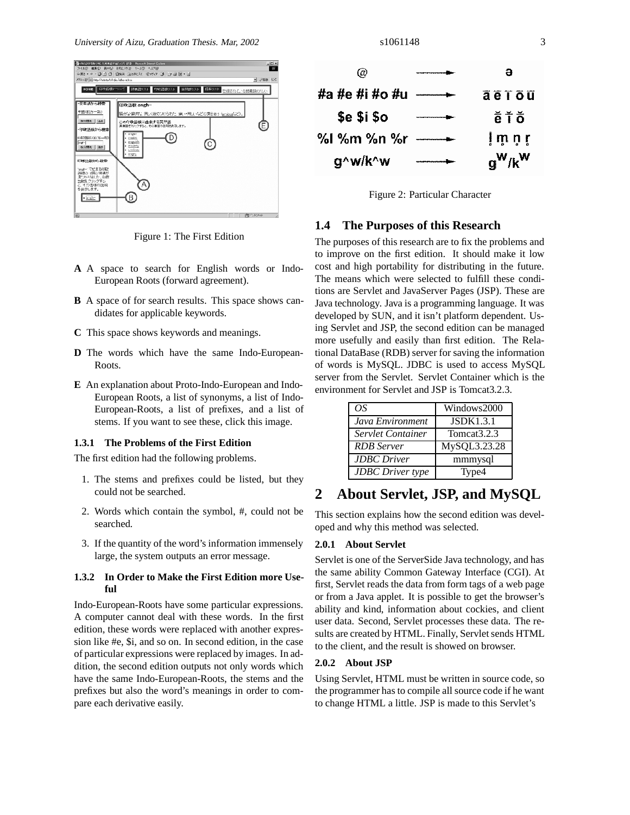

Figure 1: The First Edition

- **A** A space to search for English words or Indo-European Roots (forward agreement).
- **B** A space of for search results. This space shows candidates for applicable keywords.
- **C** This space shows keywords and meanings.
- **D** The words which have the same Indo-European-Roots.
- **E** An explanation about Proto-Indo-European and Indo-European Roots, a list of synonyms, a list of Indo-European-Roots, a list of prefixes, and a list of stems. If you want to see these, click this image.

#### **1.3.1 The Problems of the First Edition**

The first edition had the following problems.

- 1. The stems and prefixes could be listed, but they could not be searched.
- 2. Words which contain the symbol, #, could not be searched.
- 3. If the quantity of the word's information immensely large, the system outputs an error message.

#### **1.3.2 In Order to Make the First Edition more Useful**

Indo-European-Roots have some particular expressions. A computer cannot deal with these words. In the first edition, these words were replaced with another expression like #e, \$i, and so on. In second edition, in the case of particular expressions were replaced by images. In addition, the second edition outputs not only words which have the same Indo-European-Roots, the stems and the prefixes but also the word's meanings in order to compare each derivative easily.



Figure 2: Particular Character

### **1.4 The Purposes of this Research**

The purposes of this research are to fix the problems and to improve on the first edition. It should make it low cost and high portability for distributing in the future. The means which were selected to fulfill these conditions are Servlet and JavaServer Pages (JSP). These are Java technology. Java is a programming language. It was developed by SUN, and it isn't platform dependent. Using Servlet and JSP, the second edition can be managed more usefully and easily than first edition. The Relational DataBase (RDB) server for saving the information of words is MySQL. JDBC is used to access MySQL server from the Servlet. Servlet Container which is the environment for Servlet and JSP is Tomcat3.2.3.

| ΩS                      | Windows2000             |
|-------------------------|-------------------------|
| Java Environment        | <b>JSDK1.3.1</b>        |
| Servlet Container       | Tomcat <sub>3.2.3</sub> |
| <b>RDB</b> Server       | MySQL3.23.28            |
| <b>JDBC</b> Driver      | mmmysql                 |
| <b>JDBC</b> Driver type | Type4                   |

### **2 About Servlet, JSP, and MySQL**

This section explains how the second edition was developed and why this method was selected.

#### **2.0.1 About Servlet**

Servlet is one of the ServerSide Java technology, and has the same ability Common Gateway Interface (CGI). At first, Servlet reads the data from form tags of a web page or from a Java applet. It is possible to get the browser's ability and kind, information about cockies, and client user data. Second, Servlet processes these data. The results are created by HTML. Finally, Servlet sends HTML to the client, and the result is showed on browser.

#### **2.0.2 About JSP**

Using Servlet, HTML must be written in source code, so the programmer has to compile all source code if he want to change HTML a little. JSP is made to this Servlet's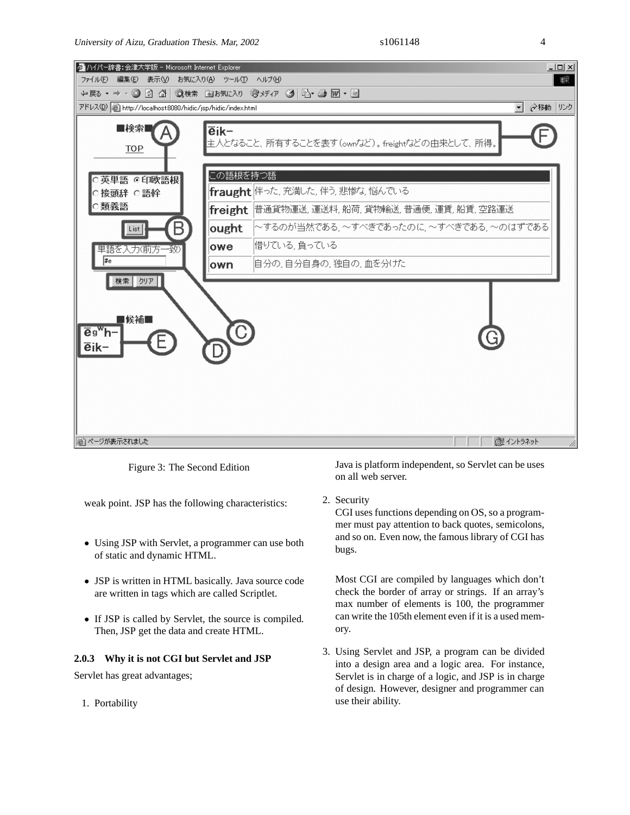

Figure 3: The Second Edition

weak point. JSP has the following characteristics:

- Using JSP with Servlet, a programmer can use both of static and dynamic HTML.
- JSP is written in HTML basically. Java source code are written in tags which are called Scriptlet.
- If JSP is called by Servlet, the source is compiled. Then, JSP get the data and create HTML.

#### **2.0.3 Why it is not CGI but Servlet and JSP**

Servlet has great advantages;

1. Portability

Java is platform independent, so Servlet can be uses on all web server.

2. Security

CGI uses functions depending on OS, so a programmer must pay attention to back quotes, semicolons, and so on. Even now, the famous library of CGI has bugs.

Most CGI are compiled by languages which don't check the border of array or strings. If an array's max number of elements is 100, the programmer can write the 105th element even if it is a used memory.

3. Using Servlet and JSP, a program can be divided into a design area and a logic area. For instance, Servlet is in charge of a logic, and JSP is in charge of design. However, designer and programmer can use their ability.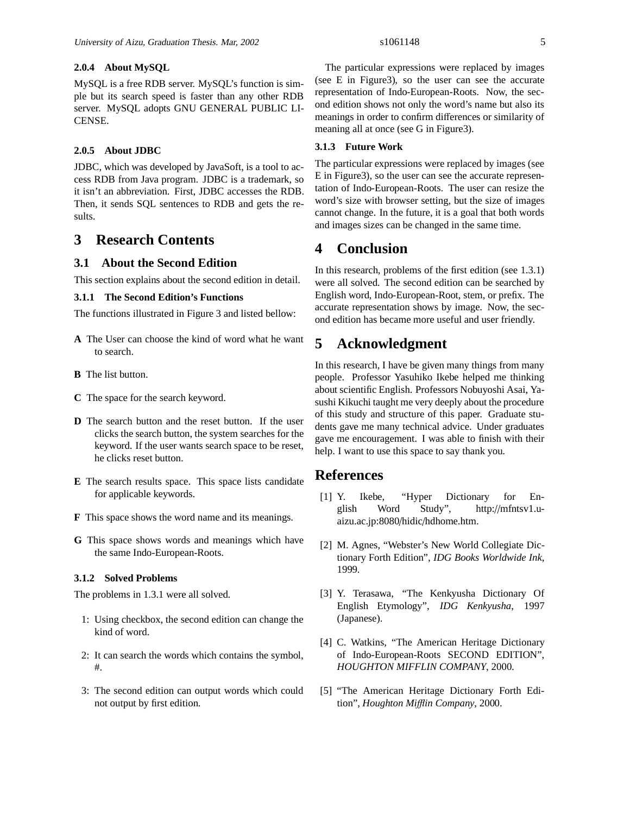#### **2.0.4 About MySQL**

MySQL is a free RDB server. MySQL's function is simple but its search speed is faster than any other RDB server. MySQL adopts GNU GENERAL PUBLIC LI-CENSE.

#### **2.0.5 About JDBC**

JDBC, which was developed by JavaSoft, is a tool to access RDB from Java program. JDBC is a trademark, so it isn't an abbreviation. First, JDBC accesses the RDB. Then, it sends SQL sentences to RDB and gets the results.

### **3 Research Contents**

#### **3.1 About the Second Edition**

This section explains about the second edition in detail.

#### **3.1.1 The Second Edition's Functions**

The functions illustrated in Figure 3 and listed bellow:

- **A** The User can choose the kind of word what he want to search.
- **B** The list button.
- **C** The space for the search keyword.
- **D** The search button and the reset button. If the user clicks the search button, the system searches for the keyword. If the user wants search space to be reset, he clicks reset button.
- **E** The search results space. This space lists candidate for applicable keywords.
- **F** This space shows the word name and its meanings.
- **G** This space shows words and meanings which have the same Indo-European-Roots.

#### **3.1.2 Solved Problems**

The problems in 1.3.1 were all solved.

- 1: Using checkbox, the second edition can change the kind of word.
- 2: It can search the words which contains the symbol, #.
- 3: The second edition can output words which could not output by first edition.

The particular expressions were replaced by images (see E in Figure3), so the user can see the accurate representation of Indo-European-Roots. Now, the second edition shows not only the word's name but also its meanings in order to confirm differences or similarity of meaning all at once (see G in Figure3).

#### **3.1.3 Future Work**

The particular expressions were replaced by images (see E in Figure3), so the user can see the accurate representation of Indo-European-Roots. The user can resize the word's size with browser setting, but the size of images cannot change. In the future, it is a goal that both words and images sizes can be changed in the same time.

### **4 Conclusion**

In this research, problems of the first edition (see 1.3.1) were all solved. The second edition can be searched by English word, Indo-European-Root, stem, or prefix. The accurate representation shows by image. Now, the second edition has became more useful and user friendly.

### **5 Acknowledgment**

In this research, I have be given many things from many people. Professor Yasuhiko Ikebe helped me thinking about scientific English. Professors Nobuyoshi Asai, Yasushi Kikuchi taught me very deeply about the procedure of this study and structure of this paper. Graduate students gave me many technical advice. Under graduates gave me encouragement. I was able to finish with their help. I want to use this space to say thank you.

### **References**

- [1] Y. Ikebe, "Hyper Dictionary for English Word Study", http://mfntsv1.uaizu.ac.jp:8080/hidic/hdhome.htm.
- [2] M. Agnes, "Webster's New World Collegiate Dictionary Forth Edition", *IDG Books Worldwide Ink*, 1999.
- [3] Y. Terasawa, "The Kenkyusha Dictionary Of English Etymology", *IDG Kenkyusha*, 1997 (Japanese).
- [4] C. Watkins, "The American Heritage Dictionary of Indo-European-Roots SECOND EDITION", *HOUGHTON MIFFLIN COMPANY*, 2000.
- [5] "The American Heritage Dictionary Forth Edition", *Houghton Mi*ffl*in Company*, 2000.